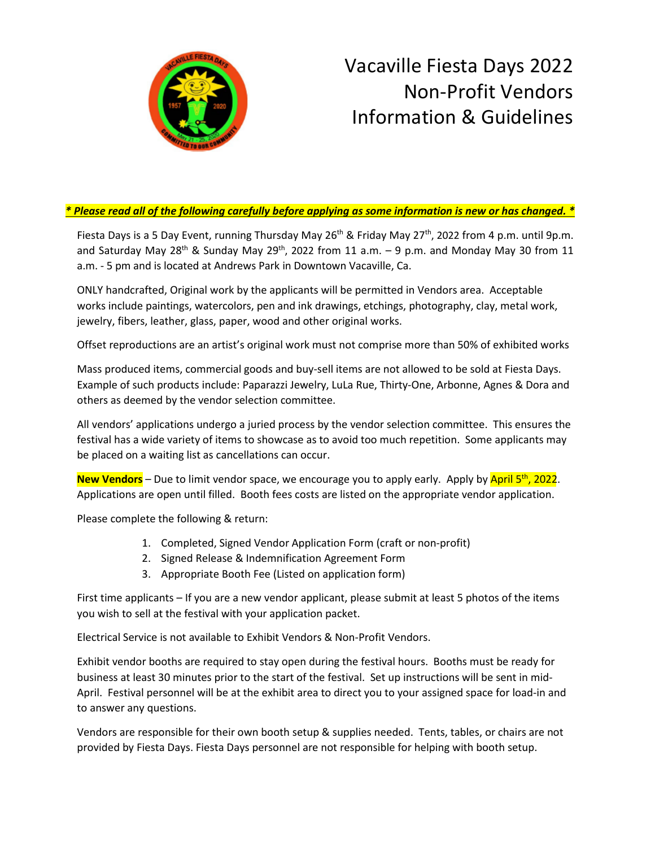

## Vacaville Fiesta Days 2022 Non-Profit Vendors Information & Guidelines

## *\* Please read all of the following carefully before applying as some information is new or has changed. \**

Fiesta Days is a 5 Day Event, running Thursday May 26<sup>th</sup> & Friday May 27<sup>th</sup>, 2022 from 4 p.m. until 9p.m. and Saturday May 28<sup>th</sup> & Sunday May 29<sup>th</sup>, 2022 from 11 a.m.  $-$  9 p.m. and Monday May 30 from 11 a.m. - 5 pm and is located at Andrews Park in Downtown Vacaville, Ca.

ONLY handcrafted, Original work by the applicants will be permitted in Vendors area. Acceptable works include paintings, watercolors, pen and ink drawings, etchings, photography, clay, metal work, jewelry, fibers, leather, glass, paper, wood and other original works.

Offset reproductions are an artist's original work must not comprise more than 50% of exhibited works

Mass produced items, commercial goods and buy-sell items are not allowed to be sold at Fiesta Days. Example of such products include: Paparazzi Jewelry, LuLa Rue, Thirty-One, Arbonne, Agnes & Dora and others as deemed by the vendor selection committee.

All vendors' applications undergo a juried process by the vendor selection committee. This ensures the festival has a wide variety of items to showcase as to avoid too much repetition. Some applicants may be placed on a waiting list as cancellations can occur.

New Vendors - Due to limit vendor space, we encourage you to apply early. Apply by April 5<sup>th</sup>, 2022. Applications are open until filled. Booth fees costs are listed on the appropriate vendor application.

Please complete the following & return:

- 1. Completed, Signed Vendor Application Form (craft or non-profit)
- 2. Signed Release & Indemnification Agreement Form
- 3. Appropriate Booth Fee (Listed on application form)

First time applicants – If you are a new vendor applicant, please submit at least 5 photos of the items you wish to sell at the festival with your application packet.

Electrical Service is not available to Exhibit Vendors & Non-Profit Vendors.

Exhibit vendor booths are required to stay open during the festival hours. Booths must be ready for business at least 30 minutes prior to the start of the festival. Set up instructions will be sent in mid-April. Festival personnel will be at the exhibit area to direct you to your assigned space for load-in and to answer any questions.

Vendors are responsible for their own booth setup & supplies needed. Tents, tables, or chairs are not provided by Fiesta Days. Fiesta Days personnel are not responsible for helping with booth setup.